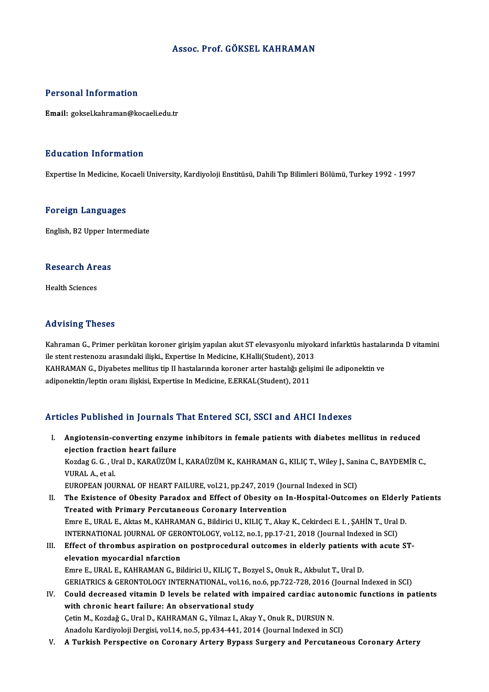## Assoc. Prof. GÖKSEL KAHRAMAN

### Personal Information

Email: goksel.kahraman@kocaeli.edu.tr

### Education Information

Expertise In Medicine, Kocaeli University, Kardiyoloji Enstitüsü, Dahili Tıp Bilimleri Bölümü, Turkey 1992 - 1997

### Foreign Languages

English,B2Upper Intermediate

# engusn, B2 Opper in<br>Research Areas R<mark>esearch Ar</mark><br>Health Sciences

# Advising Theses

Advising Theses<br>Kahraman G., Primer perkütan koroner girişim yapılan akut ST elevasyonlu miyokard infarktüs hastalarında D vitamini<br>ilə start restanazy arasındaki iliski. Evnertise In Medisine K Halli(Student), 2012 ile victing i 110500<br>Kahraman G., Primer perkütan koroner girişim yapılan akut ST elevasyonlu miyok<br>ile stent restenozu arasındaki ilişki., Expertise In Medicine, K.Halli(Student), 2013<br>KAHPAMAN C. Divebates mellitus tip I Kahraman G., Primer perkütan koroner girişim yapılan akut ST elevasyonlu miyokard infarktüs hastala:<br>ile stent restenozu arasındaki ilişki., Expertise In Medicine, K.Halli(Student), 2013<br>KAHRAMAN G., Diyabetes mellitus tip ile stent restenozu arasındaki ilişki., Expertise In Medicine, K.Halli(Student), 2013<br>KAHRAMAN G., Diyabetes mellitus tip II hastalarında koroner arter hastalığı gelişimi ile adiponektin ve<br>adiponektin/leptin oranı ilişkis

## Articles Published in Journals That Entered SCI, SSCI and AHCI Indexes

- rticles Published in Journals That Entered SCI, SSCI and AHCI Indexes<br>I. Angiotensin-converting enzyme inhibitors in female patients with diabetes mellitus in reduced<br>clients fraction beart failure ejection fraction heart failure<br>ejection fraction heart failure<br>Verdes C.C. Ural D. VARAÜZÜM Angiotensin-converting enzyme inhibitors in female patients with diabetes mellitus in reduced<br>ejection fraction heart failure<br>Kozdag G. G. , Ural D., KARAÜZÜM İ., KARAÜZÜM K., KAHRAMAN G., KILIÇ T., Wiley J., Sanina C., BA ejection fracti<br>Kozdag G. G. , U<br>VURAL A., et al.<br>EUROPEAN IOU Kozdag G. G. , Ural D., KARAÜZÜM İ., KARAÜZÜM K., KAHRAMAN G., KILIÇ T., Wiley J., Sani<br>VURAL A., et al.<br>EUROPEAN JOURNAL OF HEART FAILURE, vol.21, pp.247, 2019 (Journal Indexed in SCI)<br>The Existence of Obesity Paradox and VURAL A., et al.<br>EUROPEAN JOURNAL OF HEART FAILURE, vol.21, pp.247, 2019 (Journal Indexed in SCI)<br>II. The Existence of Obesity Paradox and Effect of Obesity on In-Hospital-Outcomes on Elderly Patients<br>Treated with Primery
- EUROPEAN JOURNAL OF HEART FAILURE, vol.21, pp.247, 2019 (Journal of Obesity Paradox and Effect of Obesity on I<br>Treated with Primary Percutaneous Coronary Intervention<br>Emre E, URAL E, Altas M, KAHRAMAN C, Bildinia U, KU IC The Existence of Obesity Paradox and Effect of Obesity on In-Hospital-Outcomes on Elderly<br>Treated with Primary Percutaneous Coronary Intervention<br>Emre E., URAL E., Aktas M., KAHRAMAN G., Bildirici U., KILIÇ T., Akay K., Ce Treated with Primary Percutaneous Coronary Intervention<br>Emre E., URAL E., Aktas M., KAHRAMAN G., Bildirici U., KILIÇ T., Akay K., Cekirdeci E. I. , ŞAHİN T., Ural<br>INTERNATIONAL JOURNAL OF GERONTOLOGY, vol.12, no.1, pp.17-2 Emre E., URAL E., Aktas M., KAHRAMAN G., Bildirici U., KILIÇ T., Akay K., Cekirdeci E. I. , ŞAHİN T., Ural D.<br>INTERNATIONAL JOURNAL OF GERONTOLOGY, vol.12, no.1, pp.17-21, 2018 (Journal Indexed in SCI)<br>III. Effect of throm
- INTERNATIONAL JOURNAL OF GER<br>Effect of thrombus aspiration of<br>elevation myocardial nfarction<br>Emre E URAL E KAHRAMANC Bi Effect of thrombus aspiration on postprocedural outcomes in elderly patients with acute ST-<br>elevation myocardial nfarction<br>Emre E., URAL E., KAHRAMAN G., Bildirici U., KILIÇ T., Bozyel S., Onuk R., Akbulut T., Ural D. elevation myocardial nfarction<br>Emre E., URAL E., KAHRAMAN G., Bildirici U., KILIÇ T., Bozyel S., Onuk R., Akbulut T., Ural D.<br>GERIATRICS & GERONTOLOGY INTERNATIONAL, vol.16, no.6, pp.722-728, 2016 (Journal Indexed in SCI)<br> Emre E., URAL E., KAHRAMAN G., Bildirici U., KILIÇ T., Bozyel S., Onuk R., Akbulut T., Ural D.<br>GERIATRICS & GERONTOLOGY INTERNATIONAL, vol.16, no.6, pp.722-728, 2016 (Journal Indexed in SCI)<br>IV. Could decreased vitamin D l
- GERIATRICS & GERONTOLOGY INTERNATIONAL, vol.16, n<br>Could decreased vitamin D levels be related with in<br>with chronic heart failure: An observational study<br>Cetin M. Kerdež C. Ural D. KAHBAMAN C. Vilmer L. Alcu Could decreased vitamin D levels be related with impaired cardiac auto<br>with chronic heart failure: An observational study<br>Çetin M., Kozdağ G., Ural D., KAHRAMAN G., Yilmaz I., Akay Y., Onuk R., DURSUN N.<br>Anadely Kardivelej with chronic heart failure: An observational study<br>Çetin M., Kozdağ G., Ural D., KAHRAMAN G., Yilmaz I., Akay Y., Onuk R., DURSUN N.<br>Anadolu Kardiyoloji Dergisi, vol.14, no.5, pp.434-441, 2014 (Journal Indexed in SCI)
- V. A Turkish Perspective on Coronary Artery Bypass Surgery and Percutaneous Coronary Artery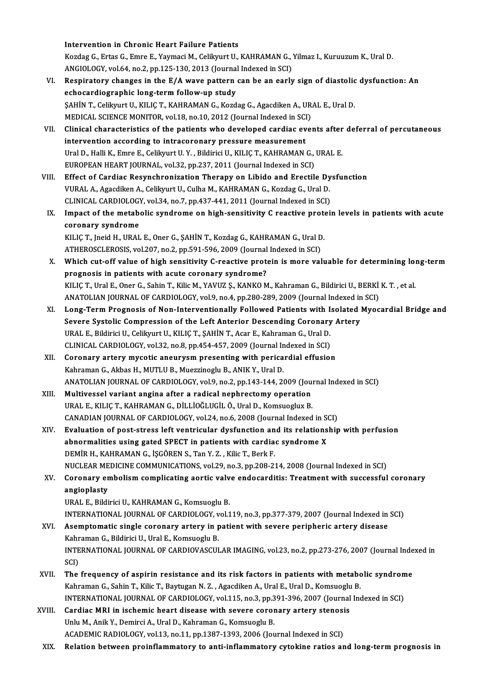Intervention in Chronic Heart Failure Patients

Intervention in Chronic Heart Failure Patients<br>Kozdag G., Ertas G., Emre E., Yaymaci M., Celikyurt U., KAHRAMAN G., Yilmaz I., Kuruuzum K., Ural D.<br>ANGIQLOGY 112| 64, no 3, nn 125, 129, 2012 (Jaurnal Indoved in SGI) Intervention in Chronic Heart Failure Patients<br>Kozdag G., Ertas G., Emre E., Yaymaci M., Celikyurt U., KAHRAMAN G.,<br>ANGIOLOGY, vol.64, no.2, pp.125-130, 2013 (Journal Indexed in SCI)<br>Beaninatory shangge in the E/A ways nat Kozdag G., Ertas G., Emre E., Yaymaci M., Celikyurt U., KAHRAMAN G., Yilmaz I., Kuruuzum K., Ural D.<br>ANGIOLOGY, vol.64, no.2, pp.125-130, 2013 (Journal Indexed in SCI)<br>VI. Respiratory changes in the E/A wave pattern can be

- ANGIOLOGY, vol.64, no.2, pp.125-130, 2013 (Journal Indexed in SCI)<br>Respiratory changes in the E/A wave pattern can be an early<br>echocardiographic long-term follow-up study Respiratory changes in the E/A wave pattern can be an early sign of diastolic<br>echocardiographic long-term follow-up study<br>ŞAHİN T., Celikyurt U., KILIÇ T., KAHRAMAN G., Kozdag G., Agacdiken A., URAL E., Ural D.<br>MEDICAL SCI ŞAHİN T., Celikyurt U., KILIÇ T., KAHRAMAN G., Kozdag G., Agacdiken A., URAL E., Ural D.<br>MEDICAL SCIENCE MONITOR, vol.18, no.10, 2012 (Journal Indexed in SCI)
- VII. Clinical characteristics of the patients who developed cardiac events after deferral of percutaneous MEDICAL SCIENCE MONITOR, vol.18, no.10, 2012 (Journal Indexed in SCI<br>Clinical characteristics of the patients who developed cardiac event<br>intervention according to intracoronary pressure measurement<br>Ural D. Holli K. Emre E Ural D., Halli K., Emre E., Celikyurt U. Y., Bildirici U., KILIÇ T., KAHRAMAN G., URAL E.<br>EUROPEAN HEART JOURNAL, vol.32, pp.237, 2011 (Journal Indexed in SCI) intervention according to intracoronary pressure measurement<br>Ural D., Halli K., Emre E., Celikyurt U. Y. , Bildirici U., KILIÇ T., KAHRAMAN G.,<br>EUROPEAN HEART JOURNAL, vol.32, pp.237, 2011 (Journal Indexed in SCI)<br>Effect o
- VIII. Effect of Cardiac Resynchronization Therapy on Libido and Erectile Dysfunction VURAL A., Agacdiken A., Celikyurt U., Culha M., KAHRAMAN G., Kozdag G., Ural D. Effect of Cardiac Resynchronization Therapy on Libido and Erectile Dy<br>VURAL A., Agacdiken A., Celikyurt U., Culha M., KAHRAMAN G., Kozdag G., Ural D.<br>CLINICAL CARDIOLOGY, vol.34, no.7, pp.437-441, 2011 (Journal Indexed in VURAL A., Agacdiken A., Celikyurt U., Culha M., KAHRAMAN G., Kozdag G., Ural D.<br>CLINICAL CARDIOLOGY, vol.34, no.7, pp.437-441, 2011 (Journal Indexed in SCI)<br>IX. Impact of the metabolic syndrome on high-sensitivity C reacti
	- CLINICAL CARDIOLOGY<br>Impact of the metabe<br>coronary syndrome Impact of the metabolic syndrome on high-sensitivity C reactive prote<br>coronary syndrome<br>KILIÇ T., Jneid H., URAL E., Oner G., ŞAHİN T., Kozdag G., KAHRAMAN G., Ural D.<br>ATHEROSCI EROSIS YRL207, ne.2, np.501,506,2000 (Journa coronary syndrome<br>KILIÇ T., Jneid H., URAL E., Oner G., ŞAHİN T., Kozdag G., KAHRAMAN G., Ural D<br>ATHEROSCLEROSIS, vol.207, no.2, pp.591-596, 2009 (Journal Indexed in SCI)<br>Which aut off volue of high consitivity C. reastive

- KILIÇ T., Jneid H., URAL E., Oner G., ŞAHİN T., Kozdag G., KAHRAMAN G., Ural D.<br>ATHEROSCLEROSIS, vol.207, no.2, pp.591-596, 2009 (Journal Indexed in SCI)<br>X. Which cut-off value of high sensitivity C-reactive protein is mor ATHEROSCLEROSIS, vol.207, no.2, pp.591-596, 2009 (Journal<br>Which cut-off value of high sensitivity C-reactive proto<br>prognosis in patients with acute coronary syndrome?<br>KU IC T. Ural E. Oper C. Sobin T. Kilia M. VAVUZ S. KAN Which cut-off value of high sensitivity C-reactive protein is more valuable for determining loi<br>prognosis in patients with acute coronary syndrome?<br>KILIÇ T., Ural E., Oner G., Sahin T., Kilic M., YAVUZ Ş., KANKO M., Kahram prognosis in patients with acute coronary syndrome?<br>KILIÇ T., Ural E., Oner G., Sahin T., Kilic M., YAVUZ Ş., KANKO M., Kahraman G., Bildirici U., BERKİ K. T. , et al.<br>ANATOLIAN JOURNAL OF CARDIOLOGY, vol.9, no.4, pp.280-2 KILIÇ T., Ural E., Oner G., Sahin T., Kilic M., YAVUZ Ş., KANKO M., Kahraman G., Bildirici U., BERKİ K. T. , et al.<br>ANATOLIAN JOURNAL OF CARDIOLOGY, vol.9, no.4, pp.280-289, 2009 (Journal Indexed in SCI)<br>XI. Long-Term Prog
- ANATOLIAN JOURNAL OF CARDIOLOGY, vol.9, no.4, pp.280-289, 2009 (Journal Indexed in<br>Long-Term Prognosis of Non-Interventionally Followed Patients with Isolated |<br>Severe Systolic Compression of the Left Anterior Descending C Long-Term Prognosis of Non-Interventionally Followed Patients with I<br>Severe Systolic Compression of the Left Anterior Descending Coronary<br>URAL E., Bildirici U., Celikyurt U., KILIÇ T., ŞAHİN T., Acar E., Kahraman G., Ural Severe Systolic Compression of the Left Anterior Descending Coronary Artery<br>URAL E., Bildirici U., Celikyurt U., KILIÇ T., ŞAHİN T., Acar E., Kahraman G., Ural D. CLINICAL CARDIOLOGY, vol.32, no.8, pp.454-457, 2009 (Journal Indexed in SCI)
- XII. Coronary artery mycotic aneurysm presenting with pericardial effusion Kahraman G., Akbas H., MUTLU B., Muezzinoglu B., ANIK Y., Ural D. Coronary artery mycotic aneurysm presenting with pericardial effusion<br>Kahraman G., Akbas H., MUTLU B., Muezzinoglu B., ANIK Y., Ural D.<br>ANATOLIAN JOURNAL OF CARDIOLOGY, vol.9, no.2, pp.143-144, 2009 (Journal Indexed in SCI Kahraman G., Akbas H., MUTLU B., Muezzinoglu B., ANIK Y., Ural D.<br>ANATOLIAN JOURNAL OF CARDIOLOGY, vol.9, no.2, pp.143-144, 2009 (Jou<br>XIII. Multivessel variant angina after a radical nephrectomy operation<br>URAL E. KULG T. K
- ANATOLIAN JOURNAL OF CARDIOLOGY, vol.9, no.2, pp.143-144, 2009 (Journal Multivessel variant angina after a radical nephrectomy operation<br>URAL E., KILIÇ T., KAHRAMAN G., DİLLİOĞLUGİL Ö., Ural D., Komsuoglux B.<br>CANADIAN JOUR Multivessel variant angina after a radical nephrectomy operation<br>URAL E., KILIÇ T., KAHRAMAN G., DİLLİOĞLUGİL Ö., Ural D., Komsuoglux B.<br>CANADIAN JOURNAL OF CARDIOLOGY, vol.24, no.6, 2008 (Journal Indexed in SCI)<br>Evaluatio
- URAL E., KILIÇ T., KAHRAMAN G., DİLLİOĞLUGİL Ö., Ural D., Komsuoglux B.<br>CANADIAN JOURNAL OF CARDIOLOGY, vol.24, no.6, 2008 (Journal Indexed in SCI)<br>XIV. Evaluation of post-stress left ventricular dysfunction and its relati CANADIAN JOURNAL OF CARDIOLOGY, vol.24, no.6, 2008 (Journal Indexed in St<br>Evaluation of post-stress left ventricular dysfunction and its relations<br>abnormalities using gated SPECT in patients with cardiac syndrome X<br>DEMID H DEMİRH.,KAHRAMANG., İŞGÖRENS.,TanY.Z. ,KilicT.,BerkF. NUCLEAR MEDICINE COMMUNICATIONS, vol.29, no.3, pp.208-214, 2008 (Journal Indexed in SCI) DEMİR H., KAHRAMAN G., İŞGÖREN S., Tan Y. Z. , Kilic T., Berk F.<br>NUCLEAR MEDICINE COMMUNICATIONS, vol.29, no.3, pp.208-214, 2008 (Journal Indexed in SCI)<br>XV. Coronary embolism complicating aortic valve endocarditis: Tr
- angioplasty<br>URAL E., Bildirici U., KAHRAMAN G., Komsuoglu B. Coronary embolism complicating aortic valv<br>angioplasty<br>URAL E., Bildirici U., KAHRAMAN G., Komsuoglu B.<br>INTERNATIONAL JOURNAL OF CARDIOLOCY vol 1

INTERNATIONAL JOURNALOF CARDIOLOGY,vol.119,no.3,pp.377-379,2007 (Journal Indexed inSCI)

- URAL E., Bildirici U., KAHRAMAN G., Komsuoglu B.<br>INTERNATIONAL JOURNAL OF CARDIOLOGY, vol.119, no.3, pp.377-379, 2007 (Journal Indexed in<br>XVI. Asemptomatic single coronary artery in patient with severe peripheric artery di INTERNATIONAL JOURNAL OF CARDIOLOGY, v<br>Asemptomatic single coronary artery in p<br>Kahraman G., Bildirici U., Ural E., Komsuoglu B.<br>INTERNATIONAL JOURNAL OF CARDIOVASCUL INTERNATIONAL JOURNAL OF CARDIOVASCULAR IMAGING, vol.23, no.2, pp.273-276, 2007 (Journal Indexed in SCI) Kahraman G., Bildirici U., Ural E., Komsuoglu B. INTERNATIONAL JOURNAL OF CARDIOVASCULAR IMAGING, vol.23, no.2, pp.273-276, 2007 (Journal Inde<br>SCI)<br>XVII. The frequency of aspirin resistance and its risk factors in patients with metabolic syndrome<br>Kehraman G. Sehin T. Ki
- SCI)<br>The frequency of aspirin resistance and its risk factors in patients with metabo<br>Kahraman G., Sahin T., Kilic T., Baytugan N. Z. , Agacdiken A., Ural E., Ural D., Komsuoglu B.<br>INTERNATIONAL JOURNAL OF GARDIOLOCY, vel The frequency of aspirin resistance and its risk factors in patients with metabolic syndrom<br>Kahraman G., Sahin T., Kilic T., Baytugan N. Z. , Agacdiken A., Ural E., Ural D., Komsuoglu B.<br>INTERNATIONAL JOURNAL OF CARDIOLOGY Kahraman G., Sahin T., Kilic T., Baytugan N. Z. , Agacdiken A., Ural E., Ural D., Komsuoglu<br>INTERNATIONAL JOURNAL OF CARDIOLOGY, vol.115, no.3, pp.391-396, 2007 (Journal<br>XVIII. Cardiac MRI in ischemic heart disease with se
- INTERNATIONAL JOURNAL OF CARDIOLOGY, vol.115, no.3, pp.3<br>Cardiac MRI in ischemic heart disease with severe coror<br>Unlu M., Anik Y., Demirci A., Ural D., Kahraman G., Komsuoglu B.<br>ACADEMIC RADIOLOCY, vol.13, no.11, np.1397, Cardiac MRI in ischemic heart disease with severe coronary artery stenosi<br>Unlu M., Anik Y., Demirci A., Ural D., Kahraman G., Komsuoglu B.<br>ACADEMIC RADIOLOGY, vol.13, no.11, pp.1387-1393, 2006 (Journal Indexed in SCI)<br>Pela Unlu M., Anik Y., Demirci A., Ural D., Kahraman G., Komsuoglu B.<br>ACADEMIC RADIOLOGY, vol.13, no.11, pp.1387-1393, 2006 (Journal Indexed in SCI)<br>XIX. Relation between proinflammatory to anti-inflammatory cytokine ratios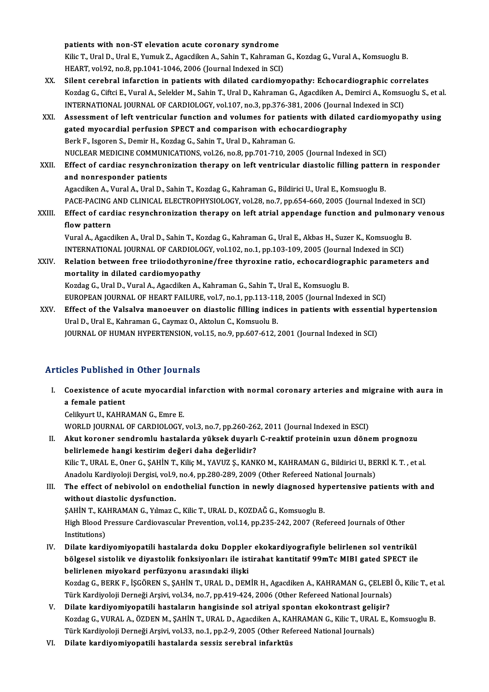patients with non-ST elevation acute coronary syndrome

patients with non-ST elevation acute coronary syndrome<br>Kilic T., Ural D., Ural E., Yumuk Z., Agacdiken A., Sahin T., Kahraman G., Kozdag G., Vural A., Komsuoglu B.<br>HEAPT 112193, no 8, nn 1941 1946, 2006 (Journal Indoved in patients with non-ST elevation acute coronary syndrome<br>Kilic T., Ural D., Ural E., Yumuk Z., Agacdiken A., Sahin T., Kahraman<br>HEART, vol.92, no.8, pp.1041-1046, 2006 (Journal Indexed in SCI)<br>Silent senshual infonstion in p Kilic T., Ural D., Ural E., Yumuk Z., Agacdiken A., Sahin T., Kahraman G., Kozdag G., Vural A., Komsuoglu B.<br>HEART, vol.92, no.8, pp.1041-1046, 2006 (Journal Indexed in SCI)<br>XX. Silent cerebral infarction in patients with

- HEART, vol.92, no.8, pp.1041-1046, 2006 (Journal Indexed in SCI)<br>Silent cerebral infarction in patients with dilated cardiomyopathy: Echocardiographic correlates<br>Kozdag G., Ciftci E., Vural A., Selekler M., Sahin T., Ural Silent cerebral infarction in patients with dilated cardiomyopathy: Echocardiographic corr<br>Kozdag G., Ciftci E., Vural A., Selekler M., Sahin T., Ural D., Kahraman G., Agacdiken A., Demirci A., Komsu<br>INTERNATIONAL JOURNAL Kozdag G., Ciftci E., Vural A., Selekler M., Sahin T., Ural D., Kahraman G., Agacdiken A., Demirci A., Komsuoglu S., et a<br>INTERNATIONAL JOURNAL OF CARDIOLOGY, vol.107, no.3, pp.376-381, 2006 (Journal Indexed in SCI)<br>XXI. A
- INTERNATIONAL JOURNAL OF CARDIOLOGY, vol.107, no.3, pp.376-381, 2006 (Journa<br>Assessment of left ventricular function and volumes for patients with dilate<br>gated myocardial perfusion SPECT and comparison with echocardiograph Assessment of left ventricular function and volumes for patie<br>gated myocardial perfusion SPECT and comparison with echo<br>Berk F., Isgoren S., Demir H., Kozdag G., Sahin T., Ural D., Kahraman G.<br>NUCLEAR MEDICINE COMMUNICATIO gated myocardial perfusion SPECT and comparison with echocardiography<br>Berk F., Isgoren S., Demir H., Kozdag G., Sahin T., Ural D., Kahraman G.<br>NUCLEAR MEDICINE COMMUNICATIONS, vol.26, no.8, pp.701-710, 2005 (Journal Indexe Berk F., Isgoren S., Demir H., Kozdag G., Sahin T., Ural D., Kahraman G.<br>NUCLEAR MEDICINE COMMUNICATIONS, vol.26, no.8, pp.701-710, 2005 (Journal Indexed in SCI)<br>XXII. Effect of cardiac resynchronization therapy on left ve
- NUCLEAR MEDICINE COMMUNI<br>Effect of cardiac resynchron<br>and nonresponder patients Effect of cardiac resynchronization therapy on left ventricular diastolic filling pattern<br>and nonresponder patients<br>Agacdiken A., Vural A., Ural D., Sahin T., Kozdag G., Kahraman G., Bildirici U., Ural E., Komsuoglu B.<br>BAC

and nonresponder patients<br>Agacdiken A., Vural A., Ural D., Sahin T., Kozdag G., Kahraman G., Bildirici U., Ural E., Komsuoglu B.<br>PACE-PACING AND CLINICAL ELECTROPHYSIOLOGY, vol.28, no.7, pp.654-660, 2005 (Journal Indexed i Agacdiken A., Vural A., Ural D., Sahin T., Kozdag G., Kahraman G., Bildirici U., Ural E., Komsuoglu B.<br>PACE-PACING AND CLINICAL ELECTROPHYSIOLOGY, vol.28, no.7, pp.654-660, 2005 (Journal Indexed in SCI)<br>XXIII. Effect of ca

PACE-PACING<br>Effect of card<br>flow pattern<br>Vural A Agad Effect of cardiac resynchronization therapy on left atrial appendage function and pulmonary<br>flow pattern<br>Vural A., Agacdiken A., Ural D., Sahin T., Kozdag G., Kahraman G., Ural E., Akbas H., Suzer K., Komsuoglu B.<br>INTERNAT

flow pattern<br>Vural A., Agacdiken A., Ural D., Sahin T., Kozdag G., Kahraman G., Ural E., Akbas H., Suzer K., Komsuoglu<br>INTERNATIONAL JOURNAL OF CARDIOLOGY, vol.102, no.1, pp.103-109, 2005 (Journal Indexed in SCI)<br>Pelation Vural A., Agacdiken A., Ural D., Sahin T., Kozdag G., Kahraman G., Ural E., Akbas H., Suzer K., Komsuoglu B.<br>INTERNATIONAL JOURNAL OF CARDIOLOGY, vol.102, no.1, pp.103-109, 2005 (Journal Indexed in SCI)<br>XXIV. Relation betw

INTERNATIONAL JOURNAL OF CARDIOLO<br>Relation between free triiodothyroni<br>mortality in dilated cardiomyopathy<br>Kordes C. Ural D. Vural A. Assadikan A Relation between free triiodothyronine/free thyroxine ratio, echocardiographic parameters and<br>mortality in dilated cardiomyopathy<br>Kozdag G., Ural D., Vural A., Agacdiken A., Kahraman G., Sahin T., Ural E., Komsuoglu B.

EUROPEAN JOURNAL OF HEART FAILURE, vol.7, no.1, pp.113-118, 2005 (Journal Indexed in SCI)

Kozdag G., Ural D., Vural A., Agacdiken A., Kahraman G., Sahin T., Ural E., Komsuoglu B.<br>EUROPEAN JOURNAL OF HEART FAILURE, vol.7, no.1, pp.113-118, 2005 (Journal Indexed in SCI)<br>XXV. Effect of the Valsalva manoeuver on di EUROPEAN JOURNAL OF HEART FAILURE, vol.7, no.1, pp.113-11<br>Effect of the Valsalva manoeuver on diastolic filling india<br>Ural D., Ural E., Kahraman G., Caymaz O., Aktolun C., Komsuolu B.<br>JOURNAL OF HUMAN HYPEPTENSION vol.15, Effect of the Valsalva manoeuver on diastolic filling indices in patients with essenti:<br>Ural D., Ural E., Kahraman G., Caymaz O., Aktolun C., Komsuolu B.<br>JOURNAL OF HUMAN HYPERTENSION, vol.15, no.9, pp.607-612, 2001 (Journ JOURNAL OF HUMAN HYPERTENSION, vol.15, no.9, pp.607-612, 2001 (Journal Indexed in SCI)<br>Articles Published in Other Journals

rticles Published in Other Journals<br>I. Coexistence of acute myocardial infarction with normal coronary arteries and migraine with aura in<br>A fomale patient Second Monteneu<br>Coexistence of a<br>a female patient<br>Colibriut II, VAUD Coexistence of acute myocardial<br>a female patient<br>Celikyurt U., KAHRAMAN G., Emre E.<br>WORLD JOUPNAL OF CAPDIOLOCY

a female patient<br>Celikyurt U., KAHRAMAN G., Emre E.<br>WORLD JOURNAL OF CARDIOLOGY, vol.3, no.7, pp.260-262, 2011 (Journal Indexed in ESCI) Celikyurt U., KAHRAMAN G., Emre E.<br>WORLD JOURNAL OF CARDIOLOGY, vol.3, no.7, pp.260-262, 2011 (Journal Indexed in ESCI)<br>II. Akut koroner sendromlu hastalarda yüksek duyarlı C-reaktif proteinin uzun dönem prognozu<br>halirlama

- belirlemede hangi kestirimdeğeri daha değerlidir? Akut koroner sendromlu hastalarda yüksek duyarlı C-reaktif proteinin uzun dönem prognozu<br>belirlemede hangi kestirim değeri daha değerlidir?<br>Kilic T., URAL E., Oner G., ŞAHİN T., Kiliç M., YAVUZ Ş., KANKO M., KAHRAMAN G., B belirlemede hangi kestirim değeri daha değerlidir?<br>Kilic T., URAL E., Oner G., ŞAHİN T., Kiliç M., YAVUZ Ş., KANKO M., KAHRAMAN G., Bildirici U., BE<br>Anadolu Kardiyoloji Dergisi, vol.9, no.4, pp.280-289, 2009 (Other Referee Kilic T., URAL E., Oner G., ŞAHİN T., Kiliç M., YAVUZ Ş., KANKO M., KAHRAMAN G., Bildirici U., BERKİ K. T. , et al.<br>Anadolu Kardiyoloji Dergisi, vol.9, no.4, pp.280-289, 2009 (Other Refereed National Journals)<br>III. The eff
- Anadolu Kardiyoloji Dergisi, vol.9, no.4, pp.280-289, 2009 (Other Refereed National Journals)<br>III. The effect of nebivolol on endothelial function in newly diagnosed hypertensive patients with and<br>without diastolic dysfunc The effect of nebivolol on endothelial function in newly diagnosed hy<br>without diastolic dysfunction.<br>ŞAHİN T., KAHRAMAN G., Yılmaz C., Kilic T., URAL D., KOZDAĞ G., Komsuoglu B.<br>High Blood Pressure Cardiayassular Preyentio

High Blood Pressure Cardiovascular Prevention, vol.14, pp.235-242, 2007 (Refereed Journals of Other<br>Institutions) SAHIN T., KA<br>High Blood P<br>Institutions)<br>Dilate kandi

- IV. Dilate kardiyomiyopatili hastalarda doku Doppler ekokardiyografiyle belirlenen sol ventrikül Institutions)<br>Dilate kardiyomiyopatili hastalarda doku Doppler ekokardiyografiyle belirlenen sol ventrikül<br>bölgesel sistolik ve diyastolik fonksiyonları ile istirahat kantitatif 99mTc MIBI gated SPECT ile<br>belirlenen miyeka Dilate kardiyomiyopatili hastalarda doku Dopplei<br>bölgesel sistolik ve diyastolik fonksiyonları ile ist<br>belirlenen miyokard perfüzyonu arasındaki ilişki<br>Kordes G. BERKE İSCÖREN S. SAHİN T. URAL D. DEM bölgesel sistolik ve diyastolik fonksiyonları ile istirahat kantitatif 99mTc MIBI gated SPECT ile<br>belirlenen miyokard perfüzyonu arasındaki ilişki<br>Kozdag G., BERK F., İŞGÖREN S., ŞAHİN T., URAL D., DEMİR H., Agacdiken A., belirlenen miyokard perfüzyonu arasındaki ilişki<br>Kozdag G., BERK F., İŞGÖREN S., ŞAHİN T., URAL D., DEMİR H., Agacdiken A., KAHRAMAN G., ÇELEBİ Ö., Kilic T., et al.<br>Türk Kardiyoloji Derneği Arşivi, vol.34, no.7, pp.419-424
- V. Dilate kardiyomiyopatili hastaların hangisinde sol atriyal spontan ekokontrast gelişir? Türk Kardiyoloji Derneği Arşivi, vol.34, no.7, pp.419-424, 2006 (Other Refereed National Journals)<br>Dilate kar<mark>diyomiyopatili hastaların hangisinde sol atriyal spontan ekokontrast gelişir?</mark><br>Kozdag G., VURAL A., ÖZDEN M., ŞA Dilate kardiyomiyopatili hastaların hangisinde sol atriyal spontan ekokontrast geli<br>Kozdag G., VURAL A., ÖZDEN M., ŞAHİN T., URAL D., Agacdiken A., KAHRAMAN G., Kilic T., URAI<br>Türk Kardiyoloji Derneği Arşivi, vol.33, no.1, Kozdag G., VURAL A., ÖZDEN M., ŞAHİN T., URAL D., Agacdiken A., KA<br>Türk Kardiyoloji Derneği Arşivi, vol.33, no.1, pp.2-9, 2005 (Other Ref<br>VI. Dilate kardiyomiyopatili hastalarda sessiz serebral infarktüs
-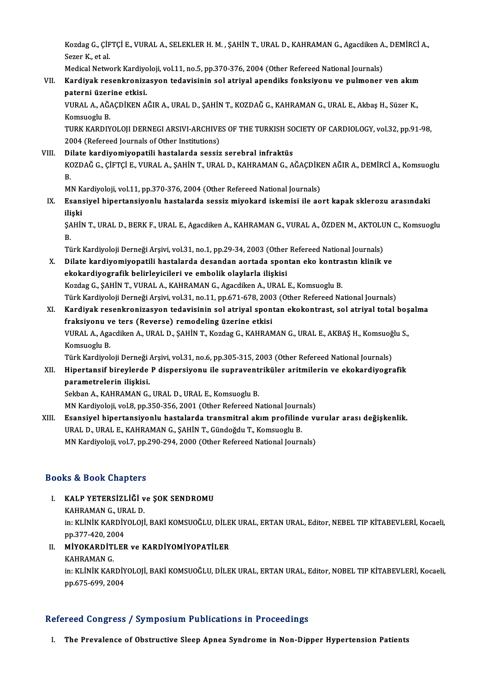Kozdag G., ÇİFTÇİ E., VURAL A., SELEKLER H. M. , ŞAHİN T., URAL D., KAHRAMAN G., Agacdiken A., DEMİRCİ A.,<br>Sezer K. et el Kozdag G., ÇİF<br>Sezer K., et al.<br>Medisal Natur Kozdag G., ÇİFTÇİ E., VURAL A., SELEKLER H. M. , ŞAHİN T., URAL D., KAHRAMAN G., Agacdiken A<br>Sezer K., et al.<br>Medical Network Kardiyoloji, vol.11, no.5, pp.370-376, 2004 (Other Refereed National Journals)<br>Kardiyal: resenkr

# Sezer K., et al.<br>Medical Network Kardiyoloji, vol.11, no.5, pp.370-376, 2004 (Other Refereed National Journals)<br>VII. Kardiyak resenkronizasyon tedavisinin sol atriyal apendiks fonksiyonu ve pulmoner ven akım<br>natanni üz Medical Network Kardiyc<br><mark>Kardiyak resenkroniza</mark><br>paterni üzerine etkisi.<br>VURAL A AČACDİKEN A Kardiyak resenkronizasyon tedavisinin sol atriyal apendiks fonksiyonu ve pulmoner ven akım<br>paterni üzerine etkisi.<br>VURAL A., AĞAÇDİKEN AĞIR A., URAL D., ŞAHİN T., KOZDAĞ G., KAHRAMAN G., URAL E., Akbaş H., Süzer K.,<br>Komsue

paterni üzerine etkisi.<br>VURAL A., AĞAÇDİKEN AĞIR A., URAL D., ŞAHİN T., KOZDAĞ G., KAHRAMAN G., URAL E., Akbaş H., Süzer K.,<br>Komsuoglu B.<br>TURK KARDIYOLOJI DERNEGI ARSIVI-ARCHIVES OF THE TURKISH SOCIETY OF CARDIOLOGY, vol.3 VURAL A., AĞAÇDİKEN AĞIR A., URAL D., ŞAHİN T., KOZDAĞ G., KAHRAMAN G., URAL E., Akbaş H., Süzer K.,

2004 (Refereed Journals of Other Institutions)

## VIII. Dilate kardiyomiyopatili hastalarda sessiz serebral infraktüs 2004 (Refereed Journals of Other Institutions)<br>Dilate <mark>kardiyomiyopatili hastalarda sessiz serebral infraktüs</mark><br>KOZDAĞ G., ÇİFTÇİ E., VURAL A., ŞAHİN T., URAL D., KAHRAMAN G., AĞAÇDİKEN AĞIR A., DEMİRCİ A., Komsuoglu<br>P Di<br>K<br>B<br>M KOZDAĞ G., ÇİFTÇİ E., VURAL A., ŞAHİN T., URAL D., KAHRAMAN G., AĞAÇDİKI<br>B.<br>MN Kardiyoloji, vol.11, pp.370-376, 2004 (Other Refereed National Journals)<br>Feansiyal binartansiyanlu bastalarda sessir miyoltard iskamisi ilə as

B.<br>MN Kardiyoloji, vol.11, pp.370-376, 2004 (Other Refereed National Journals)<br>IX. Esansiyel hipertansiyonlu hastalarda sessiz miyokard iskemisi ile aort kapak sklerozu arasındaki<br>iliaki MN K<br><mark>Esan:</mark><br>ilişki<br>sauit Esansiyel hipertansiyonlu hastalarda sessiz miyokard iskemisi ile aort kapak sklerozu arasındaki<br>ilişki<br>ŞAHİN T., URAL D., BERK F., URAL E., Agacdiken A., KAHRAMAN G., VURAL A., ÖZDEN M., AKTOLUN C., Komsuoglu<br>P

ili<br>ŞA<br>Tü ŞAHİN T., URAL D., BERK F., URAL E., Agacdiken A., KAHRAMAN G., VURAL A., ÖZDEN M., AKTOLUN C., Komsuoglu<br>B.<br>Türk Kardiyoloji Derneği Arsivi, vol.31, no.1, pp.29-34, 2003 (Other Refereed National Journals)

- B.<br>Türk Kardiyoloji Derneği Arşivi, vol.31, no.1, pp.29-34, 2003 (Other Refereed National Journals)<br>X. Dilate kardiyomiyopatili hastalarda desandan aortada spontan eko kontrastın klinik ve<br>Akakadiyografik halinlevisile Türk Kardiyoloji Derneği Arşivi, vol.31, no.1, pp.29-34, 2003 (Other<br>Dilate kardiyomiyopatili hastalarda desandan aortada spon<br>ekokardiyografik belirleyicileri ve embolik olaylarla ilişkisi<br>Kardas G. SAHİN T. VURAL A. KAHR Dilate kardiyomiyopatili hastalarda desandan aortada spontan eko kontra<br>ekokardiyografik belirleyicileri ve embolik olaylarla ilişkisi<br>Kozdag G., ŞAHİN T., VURAL A., KAHRAMAN G., Agacdiken A., URAL E., Komsuoglu B.<br>Türk Ka ekokardiyografik belirleyicileri ve embolik olaylarla ilişkisi<br>Kozdag G., ŞAHİN T., VURAL A., KAHRAMAN G., Agacdiken A., URAL E., Komsuoglu B.<br>Türk Kardiyoloji Derneği Arşivi, vol.31, no.11, pp.671-678, 2003 (Other Referee Kozdag G., ŞAHİN T., VURAL A., KAHRAMAN G., Agacdiken A., URAL E., Komsuoglu B.<br>Türk Kardiyoloji Derneği Arşivi, vol.31, no.11, pp.671-678, 2003 (Other Refereed National Journals)<br>XI. Kardiyak resenkronizasyon tedavisinin
- Türk Kardiyoloji Derneği Arşivi, vol.31, no.11, pp.671-678, 200<br>Kardiyak resenkronizasyon tedavisinin sol atriyal spon<br>fraksiyonu ve ters (Reverse) remodeling üzerine etkisi<br>VIBAL A Agasdikan A HBALD, SAHİN T. Kardas C. KA Kardiyak resenkronizasyon tedavisinin sol atriyal spontan ekokontrast, sol atriyal total boş<br>fraksiyonu ve ters (Reverse) remodeling üzerine etkisi<br>VURAL A., Agacdiken A., URAL D., ŞAHİN T., Kozdag G., KAHRAMAN G., URAL E. fraksiyonu ve ters (Reverse) remodeling üzerine etkisi<br>VURAL A., Agacdiken A., URAL D., ŞAHİN T., Kozdag G., KAHRAMAN G., URAL E., AKBAŞ H., Komsuoğ<br>Komsuoglu B.<br>Türk Kardiyoloji Derneği Arsivi, vol.31, no.6, pp.305-315, 2 VURAL A., Agacdiken A., URAL D., ŞAHİN T., Kozdag G., KAHRAMAN G., URAL E., AKBAŞ H., Komsuoğlu S.,

XII. Hipertansif bireylerde P dispersiyonu ile supraventriküler aritmilerin ve ekokardiyografik parametrelerin ilişkisi.

Sekban A., KAHRAMAN G., URAL D., URAL E., Komsuoglu B.

MN Kardiyoloji, vol.8, pp.350-356, 2001 (Other Refereed National Journals)

Sekban A., KAHRAMAN G., URAL D., URAL E., Komsuoglu B.<br>MN Kardiyoloji, vol.8, pp.350-356, 2001 (Other Refereed National Journals)<br>XIII. Esansiyel hipertansiyonlu hastalarda transmitral akım profilinde vurular arası değ MN Kardiyoloji, vol.8, pp.350-356, 2001 (Other Refereed National Journ<br>Esansiyel hipertansiyonlu hastalarda transmitral akım profilind<br>URAL D., URAL E., KAHRAMAN G., ŞAHİN T., Gündoğdu T., Komsuoglu B.<br>MN Kardiyalaji val 7 Esansiyel hipertansiyonlu hastalarda transmitral akım profilinde vı<br>URAL D., URAL E., KAHRAMAN G., ŞAHİN T., Gündoğdu T., Komsuoglu B.<br>MN Kardiyoloji, vol.7, pp.290-294, 2000 (Other Refereed National Journals) MN Kardiyoloji, vol.7, pp.290-294, 2000 (Other Refereed National Journals)<br>Books & Book Chapters

Ooks & Book Chapters<br>I. KALP YETERSİZLİĞİ ve ŞOK SENDROMU<br>KAHPAMAN GUEALD KALP YETERSİZLİĞİ v<br>KALP YETERSİZLİĞİ v<br>KAHRAMAN G., URAL D.

KALP YETERSİZLİĞİ ve ŞOK SENDROMU<br>KAHRAMAN G., URAL D.<br>in: KLİNİK KARDİYOLOJİ, BAKİ KOMSUOĞLU, DİLEK URAL, ERTAN URAL, Editor, NEBEL TIP KİTABEVLERİ, Kocaeli,<br>pp.277,420, 2004 KAHRAMAN G., UR<br>in: KLİNİK KARDİY<br>pp.377-420, 2004<br>Miyoy ARDİTI ER in: KLİNİK KARDİYOLOJİ, BAKİ KOMSUOĞLU, DİLE<br>pp.377-420, 2004<br>II. MİYOKARDİTLER ve KARDİYOMİYOPATİLER

- pp.377-420, 2004<br>II. MİYOKARDİTLER ve KARDİYOMİYOPATİLER<br>KAHRAMAN G.
	-

MİYOKARDİTLER ve KARDİYOMİYOPATİLER<br>KAHRAMAN G.<br>in: KLİNİK KARDİYOLOJİ, BAKİ KOMSUOĞLU, DİLEK URAL, ERTAN URAL, Editor, NOBEL TIP KİTABEVLERİ, Kocaeli,<br>PR.575,699, 2004 KAHRAMAN G.<br>in: KLİNİK KARDİY<br>pp.675-699, 2004

# pp.675-699, 2004<br>Refereed Congress / Symposium Publications in Proceedings

I. The Prevalence of Obstructive Sleep Apnea Syndrome in Non-Dipper Hypertension Patients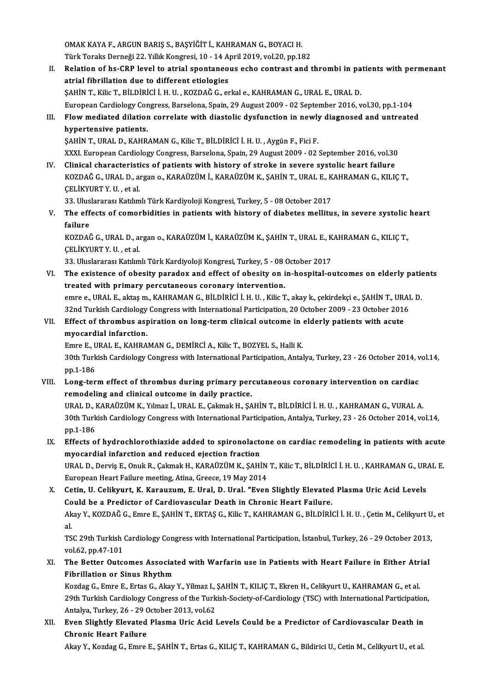OMAK KAYA F., ARGUN BARIŞ S., BAŞYİĞİT İ., KAHRAMAN G., BOYACI H.<br>Türk Toraka Darnağı 22, Vilik Kongresi 10, 14 Anril 2019, vel 20, np.15 OMAK KAYA F., ARGUN BARIŞ S., BAŞYİĞİT İ., KAHRAMAN G., BOYACI H.<br>Türk Toraks Derneği 22. Yıllık Kongresi, 10 - 14 April 2019, vol.20, pp.182<br>Belation of ha CBB lavel to etnial apontaneous eshe sontrest and t

OMAK KAYA F., ARGUN BARIŞ S., BAŞYİĞİT İ., KAHRAMAN G., BOYACI H.<br>Türk Toraks Derneği 22. Yıllık Kongresi, 10 - 14 April 2019, vol.20, pp.182<br>II. Relation of hs-CRP level to atrial spontaneous echo contrast and thrombi in Türk Toraks Derneği 22. Yıllık Kongresi, 10 - 14 April 2019, vol.20, pp.182<br>Relation of hs-CRP level to atrial spontaneous echo contrast and thrombi in patential fibrillation due to different etiologies<br>ŞAHİN T., Kilic T., Relation of hs-CRP level to atrial spontaneous echo contrast and thrombi in pa<br>atrial fibrillation due to different etiologies<br>ŞAHİN T., Kilic T., BİLDİRİCİ İ.H.U. , KOZDAĞ G., erkal e., KAHRAMAN G., URAL E., URAL D.<br>Europ EuropeanCardiologyCongress,Barselona,Spain,29August2009 -02 September 2016,vol.30,pp.1-104 SAHIN T., Kilic T., BILDIRICI I. H. U. , KOZDAĞ G., erkal e., KAHRAMAN G., URAL E., URAL D.<br>European Cardiology Congress, Barselona, Spain, 29 August 2009 - 02 September 2016, vol.30, pp.1-104<br>III. Flow mediated dilation c

# European Cardiology Cor<br>Flow mediated dilatior<br>hypertensive patients.<br>SAHIN T. UPAL D. KAHR Flow mediated dilation correlate with diastolic dysfunction in newly<br>hypertensive patients.<br>ŞAHİN T., URAL D., KAHRAMAN G., Kilic T., BİLDİRİCİ İ.H.U. , Aygün F., Fici F.<br>YYYL European Cardialagy Congress, Barselana Spain

hypertensive patients.<br>ŞAHİN T., URAL D., KAHRAMAN G., Kilic T., BİLDİRİCİ İ. H. U. , Aygün F., Fici F.<br>XXXI. European Cardiology Congress, Barselona, Spain, 29 August 2009 - 02 September 2016, vol.30<br>Clinisal shanastarist SAHIN T., URAL D., KAHRAMAN G., Kilic T., BILDIRICI I. H. U. , Aygün F., Fici F.<br>XXXI. European Cardiology Congress, Barselona, Spain, 29 August 2009 - 02 September 2016, vol.30<br>IV. Clinical characteristics of patients wit

XXXI. European Cardiology Congress, Barselona, Spain, 29 August 2009 - 02 September 2016, vol.30<br>Clinical characteristics of patients with history of stroke in severe systolic heart failure<br>KOZDAĞ G., URAL D., argan o., KA IV. Clinical characteristics of patients with history of stroke in severe systolic heart failure<br>KOZDAĞ G., URAL D., argan o., KARAÜZÜM İ., KARAÜZÜM K., ŞAHİN T., URAL E., KAHRAMAN G., KILIÇ T.,<br>CELİKYURT Y. U. , et al. KOZDAĞ G., URAL D., argan o., KARAÜZÜM İ., KARAÜZÜM K., ŞAHİN T., URAL E., K<br>ÇELİKYURT Y. U. , et al.<br>33. Uluslararası Katılımlı Türk Kardiyoloji Kongresi, Turkey, 5 - 08 October 2017<br>The effects of somonbidities in nation

CELİKYURT Y. U. , et al.<br>33. Uluslararası Katılımlı Türk Kardiyoloji Kongresi, Turkey, 5 - 08 October 2017<br>V. The effects of comorbidities in patients with history of diabetes mellitus, in severe systolic heart<br>failure 33. Ulus<br>The eff<br>failure<br>KOZDAČ The effects of comorbidities in patients with history of diabetes mellitus, in severe systolic<br>failure<br>KOZDAĞ G., URAL D., argan o., KARAÜZÜM İ., KARAÜZÜM K., ŞAHİN T., URAL E., KAHRAMAN G., KILIÇ T.,<br>CELİYYURT Y. H. et el

failure<br>KOZDAĞ G., URAL D., argan o., KARAÜZÜM İ., KARAÜZÜM K., ŞAHİN T., URAL E., KAHRAMAN G., KILIÇ T.,<br>CELİKYURT Y. U. , et al.

33.UluslararasıKatılımlıTürkKardiyolojiKongresi,Turkey,5 -08October 2017

- CELİKYURT Y. U. , et al.<br>33. Uluslararası Katılımlı Türk Kardiyoloji Kongresi, Turkey, 5 08 October 2017<br>VI. The existence of obesity paradox and effect of obesity on in-hospital-outcomes on elderly patients<br>treated with 33. Uluslararası Katılımlı Türk Kardiyoloji Kongresi, Turkey, 5 - 08<br>The existence of obesity paradox and effect of obesity on i<br>treated with primary percutaneous coronary intervention.<br>2002 - UBAL E. akteem, KAHBAMAN C. P The existence of obesity paradox and effect of obesity on in-hospital-outcomes on elderly pation<br>treated with primary percutaneous coronary intervention.<br>emre e., URAL E., aktaş m., KAHRAMAN G., BİLDİRİCİ İ. H. U. , Kilic treated with primary percutaneous coronary intervention.<br>22 emre e., URAL E., aktaş m., KAHRAMAN G., BİLDİRİCİ İ. H. U. , Kilic T., akay k., çekirdekçi e., ŞAHİN T., URA<br>32nd Turkish Cardiology Congress with International emre e., URAL E., aktaş m., KAHRAMAN G., BİLDİRİCİ İ. H. U. , Kilic T., akay k., çekirdekçi e., ŞAHİN T., UR.<br>32nd Turkish Cardiology Congress with International Participation, 20 October 2009 - 23 October 2010<br>VII. Effect
- 32nd Turkish Cardiology<br>Effect of thrombus asy<br>myocardial infarction.<br>Emre E. UPAL E. KAHPA VII. Effect of thrombus aspiration on long-term clinical outcome in elderly patients with acute myocardial infarction.

30th Turkish Cardiology Congress with International Participation, Antalya, Turkey, 23 - 26 October 2014, vol.14, pp.1-186 Emre E., URAL E., KAHRAMAN G., DEMİRCİ A., Kilic T., BOZYEL S., Halli K. 30th Turkish Cardiology Congress with International Participation, Antalya, Turkey, 23 - 26 October 2014, v<br>pp.1-186<br>VIII. Long-term effect of thrombus during primary percutaneous coronary intervention on cardiac<br>remodelin

pp.1-186<br>Long-term effect of thrombus during primary per<br>remodeling and clinical outcome in daily practice.<br>UPALD, KARAÜZÜM K. Vilmar LUPALE Colmak H. SA Long-term effect of thrombus during primary percutaneous coronary intervention on cardiac<br>remodeling and clinical outcome in daily practice.<br>URAL D., KARAÜZÜM K., Yılmaz İ., URAL E., Çakmak H., ŞAHİN T., BİLDİRİCİ İ. H. U.

remodeling and clinical outcome in daily practice.<br>URAL D., KARAÜZÜM K., Yılmaz İ., URAL E., Çakmak H., ŞAHİN T., BİLDİRİCİ İ. H. U. , KAHRAMAN G., VURAL A.<br>30th Turkish Cardiology Congress with International Participation URAL D., I<br>30th Turk<br>pp.1-186<br>Effects o 30th Turkish Cardiology Congress with International Participation, Antalya, Turkey, 23 - 26 October 2014, vol.14, pp.1-186<br>IX. Effects of hydrochlorothiazide added to spironolactone on cardiac remodeling in patients with a

pp.1-186<br>Effects of hydrochlorothiazide added to spironolacto<br>myocardial infarction and reduced ejection fraction<br>UPALD Dewis E. Opul: P. Calmek H. KARAÜZÜM K. SAHİ Effects of hydrochlorothiazide added to spironolactone on cardiac remodeling in patients with acute<br>myocardial infarction and reduced ejection fraction<br>URAL D., Derviş E., Onuk R., Çakmak H., KARAÜZÜM K., ŞAHİN T., Kilic T

myocardial infarction and reduced ejection fraction<br>URAL D., Derviş E., Onuk R., Çakmak H., KARAÜZÜM K., ŞAHİN T., Kilic T., BİLDİRİCİ İ. H. U. , KAHRAMAN G., URAL E.<br>European Heart Failure meeting, Atina, Greece, 19 May 2 URAL D., Derviş E., Onuk R., Çakmak H., KARAÜZÜM K., ŞAHİN T., Kilic T., BİLDİRİCİ İ. H. U. , KAHRAMAN G., UR.<br>European Heart Failure meeting, Atina, Greece, 19 May 2014<br>X. Cetin, U. Celikyurt, K. Karauzum, E. Ural, D. Ura

European Heart Failure meeting, Atina, Greece, 19 May 2014<br>Cetin, U. Celikyurt, K. Karauzum, E. Ural, D. Ural. "Even Slightly Elevated<br>Could be a Predictor of Cardiovascular Death in Chronic Heart Failure.<br>Alou Y. KOZDAČ C Cetin, U. Celikyurt, K. Karauzum, E. Ural, D. Ural. "Even Slightly Elevated Plasma Uric Acid Levels<br>Could be a Predictor of Cardiovascular Death in Chronic Heart Failure.<br>Akay Y., KOZDAĞ G., Emre E., ŞAHİN T., ERTAŞ G., Ki Co<br>Ak<br>al<br>Ts Akay Y., KOZDAĞ G., Emre E., ŞAHİN T., ERTAŞ G., Kilic T., KAHRAMAN G., BİLDİRİCİ İ. H. U. , Çetin M., Celikyurt U<br>al.<br>TSC 29th Turkish Cardiology Congress with International Participation, İstanbul, Turkey, 26 - 29 Octobe

al.<br>TSC 29th Turkish<br>vol.62, pp.47-101<br>The Better Oute TSC 29th Turkish Cardiology Congress with International Participation, İstanbul, Turkey, 26 - 29 October 2013<br>vol.62, pp.47-101<br>XI. The Better Outcomes Associated with Warfarin use in Patients with Heart Failure in Either

vol.62, pp.47-101<br>The Better Outcomes Associat<br>Fibrillation or Sinus Rhythm<br>Kordes C. Emre E. Ertes C. Algu The Better Outcomes Associated with Warfarin use in Patients with Heart Failure in Either Atr<br>Fibrillation or Sinus Rhythm<br>Kozdag G., Emre E., Ertas G., Akay Y., Yilmaz I., ŞAHİN T., KILIÇ T., Ekren H., Celikyurt U., KAHRA

Fibrillation or Sinus Rhythm<br>Kozdag G., Emre E., Ertas G., Akay Y., Yilmaz I., ŞAHİN T., KILIÇ T., Ekren H., Celikyurt U., KAHRAMAN G., et al.<br>29th Turkish Cardiology Congress of the Turkish-Society-of-Cardiology (TSC) wit Kozdag G., Emre E., Ertas G., Akay Y., Yilmaz I., ŞAHİN T., KILIÇ T., Ekren H., Celikyurt U., KAHRAMAN G., et al.<br>29th Turkish Cardiology Congress of the Turkish-Society-of-Cardiology (TSC) with International Participation 29th Turkish Cardiology Congress of the Turkish-Society-of-Cardiology (TSC) with International Participation<br>Antalya, Turkey, 26 - 29 October 2013, vol.62<br>XII. Even Slightly Elevated Plasma Uric Acid Levels Could be a Pred

Antalya, Turkey, 26 - 29 October 2013, vol.62<br>Even Slightly Elevated Plasma Uric Acid |<br>Chronic Heart Failure

Akay Y., Kozdag G., Emre E., ŞAHİN T., Ertas G., KILIÇ T., KAHRAMAN G., Bildirici U., Cetin M., Celikyurt U., et al.